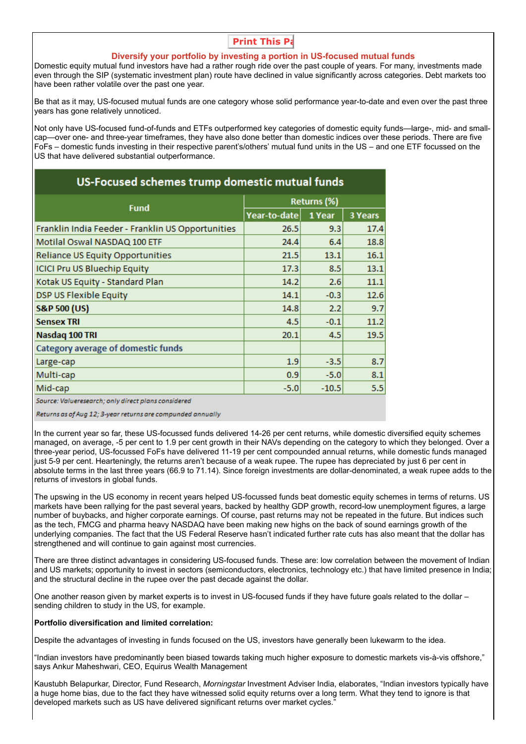# **Print This Pa**

## **Diversify your portfolio by investing a portion in US-focused mutual funds**

Domestic equity mutual fund investors have had a rather rough ride over the past couple of years. For many, investments made even through the SIP (systematic investment plan) route have declined in value significantly across categories. Debt markets too have been rather volatile over the past one year.

Be that as it may, US-focused mutual funds are one category whose solid performance year-to-date and even over the past three years has gone relatively unnoticed.

Not only have US-focused fund-of-funds and ETFs outperformed key categories of domestic equity funds—large-, mid- and smallcap—over one- and three-year timeframes, they have also done better than domestic indices over these periods. There are five FoFs – domestic funds investing in their respective parent's/others' mutual fund units in the US – and one ETF focussed on the US that have delivered substantial outperformance.

| US-Focused schemes trump domestic mutual funds    |              |         |                |
|---------------------------------------------------|--------------|---------|----------------|
| <b>Fund</b>                                       | Returns (%)  |         |                |
|                                                   | Year-to-date | 1 Year  | <b>3 Years</b> |
| Franklin India Feeder - Franklin US Opportunities | 26.5         | 9.3     | 17.4           |
| Motilal Oswal NASDAQ 100 ETF                      | 24.4         | 6.4     | 18.8           |
| Reliance US Equity Opportunities                  | 21.5         | 13.1    | 16.1           |
| <b>ICICI Pru US Bluechip Equity</b>               | 17.3         | 8.5     | 13.1           |
| Kotak US Equity - Standard Plan                   | 14.2         | 2.6     | 11.1           |
| <b>DSP US Flexible Equity</b>                     | 14.1         | $-0.3$  | 12.6           |
| <b>S&amp;P 500 (US)</b>                           | 14.8         | 2.2     | 9.7            |
| <b>Sensex TRI</b>                                 | 4.5          | $-0.1$  | 11.2           |
| Nasdaq 100 TRI                                    | 20.1         | 4.5     | 19.5           |
| Category average of domestic funds                |              |         |                |
| Large-cap                                         | 1.9          | $-3.5$  | 8.7            |
| Multi-cap                                         | 0.9          | $-5.0$  | 8.1            |
| Mid-cap                                           | $-5.0$       | $-10.5$ | 5.5            |

Source: Valueresearch; only direct plans considered

Returns as of Aug 12; 3-year returns are compunded annually

In the current year so far, these US-focussed funds delivered 14-26 per cent returns, while domestic diversified equity schemes managed, on average, -5 per cent to 1.9 per cent growth in their NAVs depending on the category to which they belonged. Over a three-year period, US-focussed FoFs have delivered 11-19 per cent compounded annual returns, while domestic funds managed just 5-9 per cent. Hearteningly, the returns aren't because of a weak rupee. The rupee has depreciated by just 6 per cent in absolute terms in the last three years (66.9 to 71.14). Since foreign investments are dollar-denominated, a weak rupee adds to the returns of investors in global funds.

The upswing in the US economy in recent years helped US-focussed funds beat domestic equity schemes in terms of returns. US markets have been rallying for the past several years, backed by healthy GDP growth, record-low unemployment figures, a large number of buybacks, and higher corporate earnings. Of course, past returns may not be repeated in the future. But indices such as the tech, FMCG and pharma heavy NASDAQ have been making new highs on the back of sound earnings growth of the underlying companies. The fact that the US Federal Reserve hasn't indicated further rate cuts has also meant that the dollar has strengthened and will continue to gain against most currencies.

There are three distinct advantages in considering US-focused funds. These are: low correlation between the movement of Indian and US markets; opportunity to invest in sectors (semiconductors, electronics, technology etc.) that have limited presence in India; and the structural decline in the rupee over the past decade against the dollar.

One another reason given by market experts is to invest in US-focused funds if they have future goals related to the dollar – sending children to study in the US, for example.

## **Portfolio diversification and limited correlation:**

Despite the advantages of investing in funds focused on the US, investors have generally been lukewarm to the idea.

"Indian investors have predominantly been biased towards taking much higher exposure to domestic markets vis-à-vis offshore," says Ankur Maheshwari, CEO, Equirus Wealth Management

Kaustubh Belapurkar, Director, Fund Research, *Morningstar* Investment Adviser India, elaborates, "Indian investors typically have a huge home bias, due to the fact they have witnessed solid equity returns over a long term. What they tend to ignore is that developed markets such as US have delivered significant returns over market cycles."